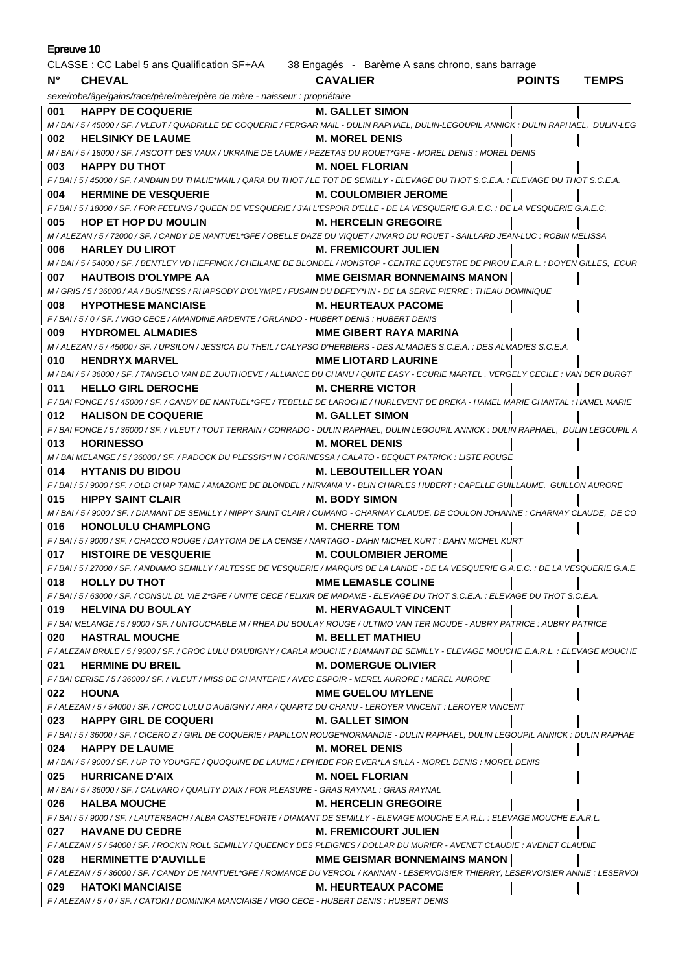| Epreuve 10  |                                                                                                                                           |                                       |               |              |  |
|-------------|-------------------------------------------------------------------------------------------------------------------------------------------|---------------------------------------|---------------|--------------|--|
|             | CLASSE : CC Label 5 ans Qualification SF+AA 38 Engagés - Barème A sans chrono, sans barrage                                               |                                       |               |              |  |
| $N^{\circ}$ | <b>CHEVAL</b>                                                                                                                             | <b>CAVALIER</b>                       | <b>POINTS</b> | <b>TEMPS</b> |  |
|             | sexe/robe/âge/gains/race/père/mère/père de mère - naisseur : propriétaire                                                                 |                                       |               |              |  |
| 001         | <b>HAPPY DE COQUERIE</b>                                                                                                                  | <b>M. GALLET SIMON</b>                |               |              |  |
|             | M / BAI / 5 / 45000 / SF. / VLEUT / QUADRILLE DE COQUERIE / FERGAR MAIL - DULIN RAPHAEL, DULIN-LEGOUPIL ANNICK : DULIN RAPHAEL, DULIN-LEG |                                       |               |              |  |
| 002         | <b>HELSINKY DE LAUME</b>                                                                                                                  | <b>M. MOREL DENIS</b>                 |               |              |  |
|             | M / BAI / 5 / 18000 / SF. / ASCOTT DES VAUX / UKRAINE DE LAUME / PEZETAS DU ROUET*GFE - MOREL DENIS : MOREL DENIS                         |                                       |               |              |  |
| 003         | <b>HAPPY DU THOT</b>                                                                                                                      | <b>M. NOEL FLORIAN</b>                |               |              |  |
|             | F/BAI/5/45000/SF./ANDAIN DU THALIE*MAIL/QARA DU THOT/LE TOT DE SEMILLY - ELEVAGE DU THOT S.C.E.A.: ELEVAGE DU THOT S.C.E.A.               |                                       |               |              |  |
| 004         | <b>HERMINE DE VESQUERIE</b>                                                                                                               | <b>M. COULOMBIER JEROME</b>           |               |              |  |
|             | F / BAI / 5 / 18000 / SF. / FOR FEELING / QUEEN DE VESQUERIE / J'AI L'ESPOIR D'ELLE - DE LA VESQUERIE G.A.E.C.                            |                                       |               |              |  |
| 005         | <b>HOP ET HOP DU MOULIN</b>                                                                                                               | <b>M. HERCELIN GREGOIRE</b>           |               |              |  |
|             | M / ALEZAN / 5 / 72000 / SF. / CANDY DE NANTUEL*GFE / OBELLE DAZE DU VIQUET / JIVARO DU ROUET - SAILLARD JEAN-LUC : ROBIN MELISSA         |                                       |               |              |  |
| 006         | <b>HARLEY DU LIROT</b>                                                                                                                    | <b>M. FREMICOURT JULIEN</b>           |               |              |  |
|             | M / BAI / 5 / 54000 / SF. / BENTLEY VD HEFFINCK / CHEILANE DE BLONDEL / NONSTOP - CENTRE EQUESTRE DE PIROU E.A.R.L. : DOYEN GILLES, ECUR  |                                       |               |              |  |
| 007         | <b>HAUTBOIS D'OLYMPE AA</b>                                                                                                               | <b>MME GEISMAR BONNEMAINS MANON</b>   |               |              |  |
|             | M / GRIS / 5 / 36000 / AA / BUSINESS / RHAPSODY D'OLYMPE / FUSAIN DU DEFEY*HN - DE LA SERVE PIERRE : THEAU DOMINIQUE                      |                                       |               |              |  |
| 008         | <b>HYPOTHESE MANCIAISE</b>                                                                                                                | M. HEURTEAUX PACOME                   |               |              |  |
|             | F/BAI/5/0/SF./VIGO CECE/AMANDINE ARDENTE/ORLANDO - HUBERT DENIS : HUBERT DENIS                                                            |                                       |               |              |  |
| 009         | <b>HYDROMEL ALMADIES</b>                                                                                                                  | MME GIBERT RAYA MARINA                |               |              |  |
|             | M / ALEZAN / 5 / 45000 / SF. / UPSILON / JESSICA DU THEIL / CALYPSO D'HERBIERS - DES ALMADIES S.C.E.A. : DES ALMADIES S.C.E.A.            |                                       |               |              |  |
| 010         | <b>HENDRYX MARVEL</b>                                                                                                                     | <b>MME LIOTARD LAURINE</b>            |               |              |  |
|             | M / BAI / 5 / 36000 / SF. / TANGELO VAN DE ZUUTHOEVE / ALLIANCE DU CHANU / QUITE EASY - ECURIE MARTEL, VERGELY CECILE : VAN DER BURGT     |                                       |               |              |  |
| 011         | <b>HELLO GIRL DEROCHE</b>                                                                                                                 | <b>M. CHERRE VICTOR</b>               |               |              |  |
|             | F / BAI FONCE / 5 / 45000 / SF. / CANDY DE NANTUEL*GFE / TEBELLE DE LAROCHE / HURLEVENT DE BREKA - HAMEL MARIE CHANTAL : HAMEL MARIE      |                                       |               |              |  |
| 012         | <b>HALISON DE COQUERIE</b>                                                                                                                | <b>M. GALLET SIMON</b>                |               |              |  |
|             | F/BAI FONCE/5/36000/SF./VLEUT/TOUT TERRAIN/CORRADO - DULIN RAPHAEL, DULIN LEGOUPIL ANNICK: DULIN RAPHAEL, DULIN LEGOUPIL A                |                                       |               |              |  |
| 013         | <b>HORINESSO</b>                                                                                                                          | <b>M. MOREL DENIS</b>                 |               |              |  |
|             | M / BAI MELANGE / 5 / 36000 / SF. / PADOCK DU PLESSIS*HN / CORINESSA / CALATO - BEQUET PATRICK : LISTE ROUGE                              |                                       |               |              |  |
| 014         | <b>HYTANIS DU BIDOU</b>                                                                                                                   | <b>M. LEBOUTEILLER YOAN</b>           |               |              |  |
|             | F/BAI/5/9000/SF./OLD CHAP TAME/AMAZONE DE BLONDEL/NIRVANA V - BLIN CHARLES HUBERT : CAPELLE GUILLAUME, GUILLON AURORE                     |                                       |               |              |  |
| 015         | M. BODY SIMON<br><b>HIPPY SAINT CLAIR</b>                                                                                                 |                                       |               |              |  |
|             | M / BAI / 5 / 9000 / SF. / DIAMANT DE SEMILLY / NIPPY SAINT CLAIR / CUMANO - CHARNAY CLAUDE, DE COULON JOHANNE : CHARNAY CLAUDE, DE CO    |                                       |               |              |  |
| 016         | <b>HONOLULU CHAMPLONG</b>                                                                                                                 | <b>M. CHERRE TOM</b>                  |               |              |  |
|             | F / BAI / 5 / 9000 / SF. / CHACCO ROUGE / DAYTONA DE LA CENSE / NARTAGO - DAHN MICHEL KURT : DAHN MICHEL KURT                             |                                       |               |              |  |
| 017         | <b>HISTOIRE DE VESQUERIE</b>                                                                                                              | <b>M. COULOMBIER JEROME</b>           |               |              |  |
|             | F/BAI/5/27000/SF./ANDIAMO SEMILLY/ALTESSE DE VESQUERIE/MARQUIS DE LA LANDE - DE LA VESQUERIE G.A.E.C. : DE LA VESQUERIE G.A.E.            |                                       |               |              |  |
| 018         | <b>HOLLY DU THOT</b>                                                                                                                      | <b>MME LEMASLE COLINE</b>             |               |              |  |
|             | F / BAI / 5 / 63000 / SF. / CONSUL DL VIE Z*GFE / UNITE CECE / ELIXIR DE MADAME - ELEVAGE DU THOT S.C.E.A. : ELEVAGE DU THOT S.C.E.A.     |                                       |               |              |  |
| 019         | <b>HELVINA DU BOULAY</b>                                                                                                                  | <b>M. HERVAGAULT VINCENT</b>          |               |              |  |
|             | F / BAI MELANGE / 5 / 9000 / SF. / UNTOUCHABLE M / RHEA DU BOULAY ROUGE / ULTIMO VAN TER MOUDE - AUBRY PATRICE : AUBRY PATRICE            |                                       |               |              |  |
| 020         | <b>HASTRAL MOUCHE</b>                                                                                                                     | <b>M. BELLET MATHIEU</b>              |               |              |  |
|             | F / ALEZAN BRULE / 5 / 9000 / SF. / CROC LULU D'AUBIGNY / CARLA MOUCHE / DIAMANT DE SEMILLY - ELEVAGE MOUCHE E.A.R.L. : ELEVAGE MOUCHE    |                                       |               |              |  |
| 021         | <b>HERMINE DU BREIL</b>                                                                                                                   | <b>M. DOMERGUE OLIVIER</b>            |               |              |  |
|             | F / BAI CERISE / 5 / 36000 / SF. / VLEUT / MISS DE CHANTEPIE / AVEC ESPOIR - MEREL AURORE : MEREL AURORE                                  |                                       |               |              |  |
| 022         | <b>HOUNA</b>                                                                                                                              | <b>MME GUELOU MYLENE</b>              |               |              |  |
|             | F / ALEZAN / 5 / 54000 / SF. / CROC LULU D'AUBIGNY / ARA / QUARTZ DU CHANU - LEROYER VINCENT : LEROYER VINCENT                            |                                       |               |              |  |
|             | 023 HAPPY GIRL DE COQUERI                                                                                                                 | <b>M. GALLET SIMON</b>                |               |              |  |
|             | F / BAI / 5 / 36000 / SF. / CICERO Z / GIRL DE COQUERIE / PAPILLON ROUGE*NORMANDIE - DULIN RAPHAEL, DULIN LEGOUPIL ANNICK : DULIN RAPHAE  |                                       |               |              |  |
| 024         | <b>HAPPY DE LAUME</b>                                                                                                                     | <b>M. MOREL DENIS</b>                 |               |              |  |
|             | M / BAI / 5 / 9000 / SF. / UP TO YOU*GFE / QUOQUINE DE LAUME / EPHEBE FOR EVER*LA SILLA - MOREL DENIS : MOREL DENIS                       |                                       |               |              |  |
| 025         | <b>HURRICANE D'AIX</b>                                                                                                                    | <b>M. NOEL FLORIAN</b>                |               |              |  |
|             | M / BAI / 5 / 36000 / SF. / CALVARO / QUALITY D'AIX / FOR PLEASURE - GRAS RAYNAL : GRAS RAYNAL                                            |                                       |               |              |  |
| 026         | <b>HALBA MOUCHE</b>                                                                                                                       | <b>M. HERCELIN GREGOIRE</b>           |               |              |  |
|             | F / BAI / 5 / 9000 / SF. / LAUTERBACH / ALBA CASTELFORTE / DIAMANT DE SEMILLY - ELEVAGE MOUCHE E.A.R.L. : ELEVAGE MOUCHE E.A.R.L.         |                                       |               |              |  |
|             | 027 HAVANE DU CEDRE                                                                                                                       | <b>M. FREMICOURT JULIEN</b>           |               |              |  |
|             | F / ALEZAN / 5 / 54000 / SF. / ROCK'N ROLL SEMILLY / QUEENCY DES PLEIGNES / DOLLAR DU MURIER - AVENET CLAUDIE : AVENET CLAUDIE            |                                       |               |              |  |
| 028         | <b>HERMINETTE D'AUVILLE</b>                                                                                                               | <b>MME GEISMAR BONNEMAINS MANON  </b> |               |              |  |
|             | F / ALEZAN / 5 / 36000 / SF. / CANDY DE NANTUEL*GFE / ROMANCE DU VERCOL / KANNAN - LESERVOISIER THIERRY, LESERVOISIER ANNIE : LESERVOI    |                                       |               |              |  |
|             | 029 HATOKI MANCIAISE                                                                                                                      | <b>M. HEURTEAUX PACOME</b>            |               |              |  |
|             | F/ALEZAN/5/0/SF./CATOKI/DOMINIKA MANCIAISE/VIGO CECE - HUBERT DENIS: HUBERT DENIS                                                         |                                       |               |              |  |